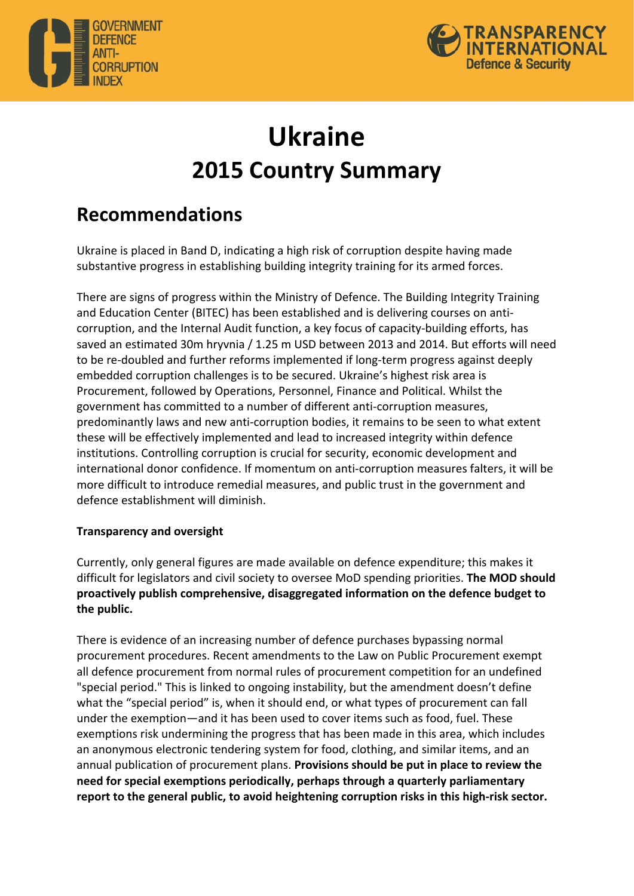



# **Ukraine 2015 Country Summary**

## **Recommendations**

Ukraine is placed in Band D, indicating a high risk of corruption despite having made substantive progress in establishing building integrity training for its armed forces.

There are signs of progress within the Ministry of Defence. The Building Integrity Training and Education Center (BITEC) has been established and is delivering courses on anticorruption, and the Internal Audit function, a key focus of capacity-building efforts, has saved an estimated 30m hryvnia / 1.25 m USD between 2013 and 2014. But efforts will need to be re-doubled and further reforms implemented if long-term progress against deeply embedded corruption challenges is to be secured. Ukraine's highest risk area is Procurement, followed by Operations, Personnel, Finance and Political. Whilst the government has committed to a number of different anti-corruption measures, predominantly laws and new anti-corruption bodies, it remains to be seen to what extent these will be effectively implemented and lead to increased integrity within defence institutions. Controlling corruption is crucial for security, economic development and international donor confidence. If momentum on anti-corruption measures falters, it will be more difficult to introduce remedial measures, and public trust in the government and defence establishment will diminish.

### **Transparency and oversight**

Currently, only general figures are made available on defence expenditure; this makes it difficult for legislators and civil society to oversee MoD spending priorities. **The MOD should** proactively publish comprehensive, disaggregated information on the defence budget to the public.

There is evidence of an increasing number of defence purchases bypassing normal procurement procedures. Recent amendments to the Law on Public Procurement exempt all defence procurement from normal rules of procurement competition for an undefined "special period." This is linked to ongoing instability, but the amendment doesn't define what the "special period" is, when it should end, or what types of procurement can fall under the exemption—and it has been used to cover items such as food, fuel. These exemptions risk undermining the progress that has been made in this area, which includes an anonymous electronic tendering system for food, clothing, and similar items, and an annual publication of procurement plans. Provisions should be put in place to review the **need for special exemptions periodically, perhaps through a quarterly parliamentary** report to the general public, to avoid heightening corruption risks in this high-risk sector.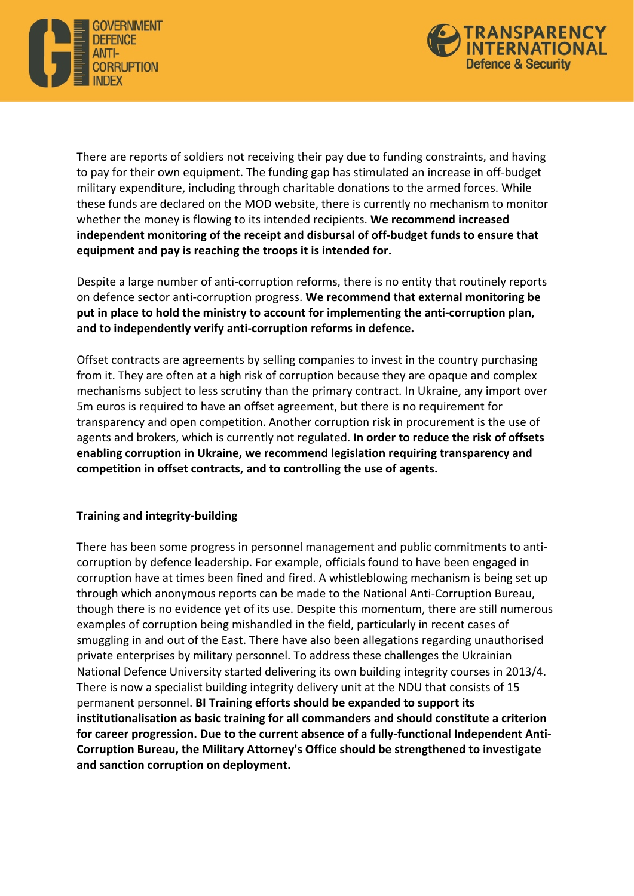



There are reports of soldiers not receiving their pay due to funding constraints, and having to pay for their own equipment. The funding gap has stimulated an increase in off-budget military expenditure, including through charitable donations to the armed forces. While these funds are declared on the MOD website, there is currently no mechanism to monitor whether the money is flowing to its intended recipients. We recommend increased **independent monitoring of the receipt and disbursal of off-budget funds to ensure that equipment and pay is reaching the troops it is intended for.** 

Despite a large number of anti-corruption reforms, there is no entity that routinely reports on defence sector anti-corruption progress. We recommend that external monitoring be put in place to hold the ministry to account for implementing the anti-corruption plan, **and to independently verify anti-corruption reforms in defence.**

Offset contracts are agreements by selling companies to invest in the country purchasing from it. They are often at a high risk of corruption because they are opaque and complex mechanisms subject to less scrutiny than the primary contract. In Ukraine, any import over 5m euros is required to have an offset agreement, but there is no requirement for transparency and open competition. Another corruption risk in procurement is the use of agents and brokers, which is currently not regulated. In order to reduce the risk of offsets enabling corruption in Ukraine, we recommend legislation requiring transparency and competition in offset contracts, and to controlling the use of agents.

### **Training and integrity-building**

There has been some progress in personnel management and public commitments to anticorruption by defence leadership. For example, officials found to have been engaged in corruption have at times been fined and fired. A whistleblowing mechanism is being set up through which anonymous reports can be made to the National Anti-Corruption Bureau, though there is no evidence yet of its use. Despite this momentum, there are still numerous examples of corruption being mishandled in the field, particularly in recent cases of smuggling in and out of the East. There have also been allegations regarding unauthorised private enterprises by military personnel. To address these challenges the Ukrainian National Defence University started delivering its own building integrity courses in 2013/4. There is now a specialist building integrity delivery unit at the NDU that consists of 15 permanent personnel. BI Training efforts should be expanded to support its institutionalisation as basic training for all commanders and should constitute a criterion for career progression. Due to the current absence of a fully-functional Independent Anti-Corruption Bureau, the Military Attorney's Office should be strengthened to investigate and sanction corruption on deployment.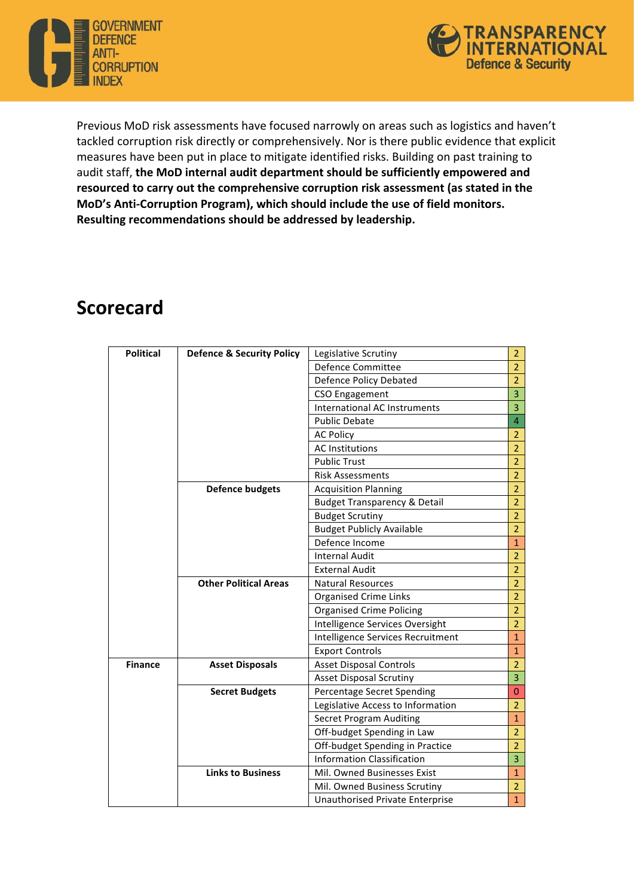



Previous MoD risk assessments have focused narrowly on areas such as logistics and haven't tackled corruption risk directly or comprehensively. Nor is there public evidence that explicit measures have been put in place to mitigate identified risks. Building on past training to audit staff, the MoD internal audit department should be sufficiently empowered and resourced to carry out the comprehensive corruption risk assessment (as stated in the MoD's Anti-Corruption Program), which should include the use of field monitors. **Resulting recommendations should be addressed by leadership.**

## **Scorecard**

| <b>Political</b> | <b>Defence &amp; Security Policy</b> | Legislative Scrutiny                    | $\overline{2}$          |
|------------------|--------------------------------------|-----------------------------------------|-------------------------|
|                  |                                      | <b>Defence Committee</b>                | $\overline{2}$          |
|                  |                                      | <b>Defence Policy Debated</b>           | $\overline{2}$          |
|                  |                                      | <b>CSO Engagement</b>                   | $\overline{3}$          |
|                  |                                      | International AC Instruments            | $\overline{\mathbf{3}}$ |
|                  |                                      | <b>Public Debate</b>                    | $\overline{4}$          |
|                  |                                      | <b>AC Policy</b>                        | $\overline{2}$          |
|                  |                                      | <b>AC Institutions</b>                  | $\overline{2}$          |
|                  |                                      | <b>Public Trust</b>                     | $\overline{2}$          |
|                  |                                      | <b>Risk Assessments</b>                 | $\overline{2}$          |
|                  | <b>Defence budgets</b>               | <b>Acquisition Planning</b>             | $\overline{2}$          |
|                  |                                      | <b>Budget Transparency &amp; Detail</b> | $\overline{2}$          |
|                  |                                      | <b>Budget Scrutiny</b>                  | $\overline{2}$          |
|                  |                                      | <b>Budget Publicly Available</b>        | $\overline{2}$          |
|                  |                                      | Defence Income                          | $\overline{1}$          |
|                  |                                      | <b>Internal Audit</b>                   | $\overline{2}$          |
|                  |                                      | <b>External Audit</b>                   | $\overline{2}$          |
|                  | <b>Other Political Areas</b>         | <b>Natural Resources</b>                | $\overline{2}$          |
|                  |                                      | <b>Organised Crime Links</b>            | $\overline{2}$          |
|                  |                                      | <b>Organised Crime Policing</b>         | $\overline{2}$          |
|                  |                                      | Intelligence Services Oversight         | $\overline{2}$          |
|                  |                                      | Intelligence Services Recruitment       | $\overline{1}$          |
|                  |                                      | <b>Export Controls</b>                  | $\mathbf{1}$            |
| <b>Finance</b>   | <b>Asset Disposals</b>               | <b>Asset Disposal Controls</b>          | $\overline{2}$          |
|                  |                                      | <b>Asset Disposal Scrutiny</b>          | $\overline{3}$          |
|                  | <b>Secret Budgets</b>                | Percentage Secret Spending              | $\overline{0}$          |
|                  |                                      | Legislative Access to Information       | $\overline{2}$          |
|                  |                                      | <b>Secret Program Auditing</b>          | $\mathbf{1}$            |
|                  |                                      | Off-budget Spending in Law              | $\overline{2}$          |
|                  |                                      | Off-budget Spending in Practice         | $\overline{2}$          |
|                  |                                      | <b>Information Classification</b>       | 3                       |
|                  | <b>Links to Business</b>             | Mil. Owned Businesses Exist             | $\mathbf{1}$            |
|                  |                                      | Mil. Owned Business Scrutiny            | $\overline{2}$          |
|                  |                                      | Unauthorised Private Enterprise         | $\overline{1}$          |